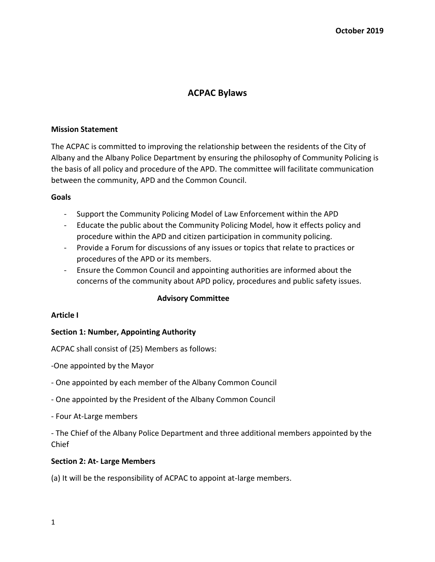# **ACPAC Bylaws**

# **Mission Statement**

The ACPAC is committed to improving the relationship between the residents of the City of Albany and the Albany Police Department by ensuring the philosophy of Community Policing is the basis of all policy and procedure of the APD. The committee will facilitate communication between the community, APD and the Common Council.

# **Goals**

- Support the Community Policing Model of Law Enforcement within the APD
- Educate the public about the Community Policing Model, how it effects policy and procedure within the APD and citizen participation in community policing.
- Provide a Forum for discussions of any issues or topics that relate to practices or procedures of the APD or its members.
- Ensure the Common Council and appointing authorities are informed about the concerns of the community about APD policy, procedures and public safety issues.

# **Advisory Committee**

# **Article I**

# **Section 1: Number, Appointing Authority**

ACPAC shall consist of (25) Members as follows:

-One appointed by the Mayor

- One appointed by each member of the Albany Common Council
- One appointed by the President of the Albany Common Council
- Four At-Large members

- The Chief of the Albany Police Department and three additional members appointed by the Chief

# **Section 2: At- Large Members**

(a) It will be the responsibility of ACPAC to appoint at-large members.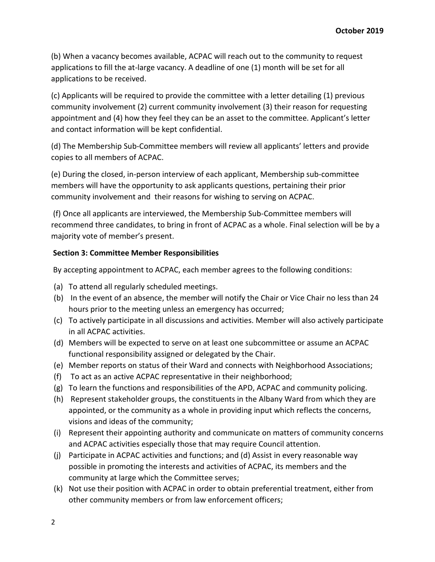(b) When a vacancy becomes available, ACPAC will reach out to the community to request applications to fill the at-large vacancy. A deadline of one (1) month will be set for all applications to be received.

(c) Applicants will be required to provide the committee with a letter detailing (1) previous community involvement (2) current community involvement (3) their reason for requesting appointment and (4) how they feel they can be an asset to the committee. Applicant's letter and contact information will be kept confidential.

(d) The Membership Sub-Committee members will review all applicants' letters and provide copies to all members of ACPAC.

(e) During the closed, in-person interview of each applicant, Membership sub-committee members will have the opportunity to ask applicants questions, pertaining their prior community involvement and their reasons for wishing to serving on ACPAC.

(f) Once all applicants are interviewed, the Membership Sub-Committee members will recommend three candidates, to bring in front of ACPAC as a whole. Final selection will be by a majority vote of member's present.

# **Section 3: Committee Member Responsibilities**

By accepting appointment to ACPAC, each member agrees to the following conditions:

- (a) To attend all regularly scheduled meetings.
- (b) In the event of an absence, the member will notify the Chair or Vice Chair no less than 24 hours prior to the meeting unless an emergency has occurred;
- (c) To actively participate in all discussions and activities. Member will also actively participate in all ACPAC activities.
- (d) Members will be expected to serve on at least one subcommittee or assume an ACPAC functional responsibility assigned or delegated by the Chair.
- (e) Member reports on status of their Ward and connects with Neighborhood Associations;
- (f) To act as an active ACPAC representative in their neighborhood;
- (g) To learn the functions and responsibilities of the APD, ACPAC and community policing.
- (h) Represent stakeholder groups, the constituents in the Albany Ward from which they are appointed, or the community as a whole in providing input which reflects the concerns, visions and ideas of the community;
- (i) Represent their appointing authority and communicate on matters of community concerns and ACPAC activities especially those that may require Council attention.
- (j) Participate in ACPAC activities and functions; and (d) Assist in every reasonable way possible in promoting the interests and activities of ACPAC, its members and the community at large which the Committee serves;
- (k) Not use their position with ACPAC in order to obtain preferential treatment, either from other community members or from law enforcement officers;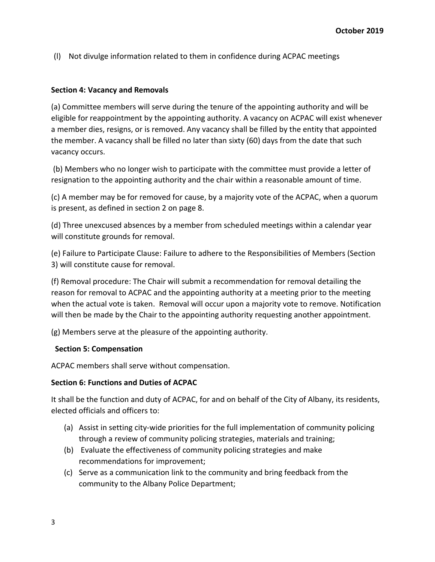(l) Not divulge information related to them in confidence during ACPAC meetings

# **Section 4: Vacancy and Removals**

(a) Committee members will serve during the tenure of the appointing authority and will be eligible for reappointment by the appointing authority. A vacancy on ACPAC will exist whenever a member dies, resigns, or is removed. Any vacancy shall be filled by the entity that appointed the member. A vacancy shall be filled no later than sixty (60) days from the date that such vacancy occurs.

(b) Members who no longer wish to participate with the committee must provide a letter of resignation to the appointing authority and the chair within a reasonable amount of time.

(c) A member may be for removed for cause, by a majority vote of the ACPAC, when a quorum is present, as defined in section 2 on page 8.

(d) Three unexcused absences by a member from scheduled meetings within a calendar year will constitute grounds for removal.

(e) Failure to Participate Clause: Failure to adhere to the Responsibilities of Members (Section 3) will constitute cause for removal.

(f) Removal procedure: The Chair will submit a recommendation for removal detailing the reason for removal to ACPAC and the appointing authority at a meeting prior to the meeting when the actual vote is taken. Removal will occur upon a majority vote to remove. Notification will then be made by the Chair to the appointing authority requesting another appointment.

(g) Members serve at the pleasure of the appointing authority.

# **Section 5: Compensation**

ACPAC members shall serve without compensation.

# **Section 6: Functions and Duties of ACPAC**

It shall be the function and duty of ACPAC, for and on behalf of the City of Albany, its residents, elected officials and officers to:

- (a) Assist in setting city-wide priorities for the full implementation of community policing through a review of community policing strategies, materials and training;
- (b) Evaluate the effectiveness of community policing strategies and make recommendations for improvement;
- (c) Serve as a communication link to the community and bring feedback from the community to the Albany Police Department;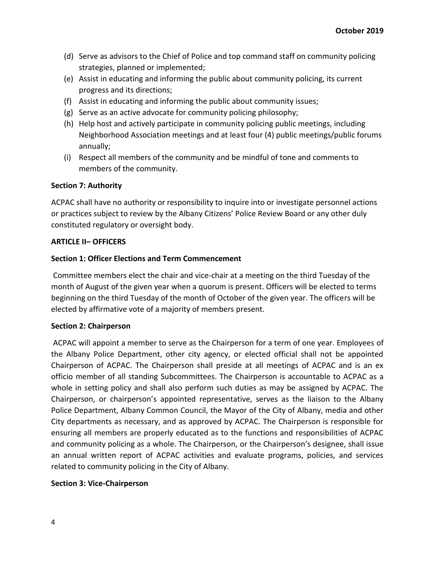- (d) Serve as advisors to the Chief of Police and top command staff on community policing strategies, planned or implemented;
- (e) Assist in educating and informing the public about community policing, its current progress and its directions;
- (f) Assist in educating and informing the public about community issues;
- (g) Serve as an active advocate for community policing philosophy;
- (h) Help host and actively participate in community policing public meetings, including Neighborhood Association meetings and at least four (4) public meetings/public forums annually;
- (i) Respect all members of the community and be mindful of tone and comments to members of the community.

# **Section 7: Authority**

ACPAC shall have no authority or responsibility to inquire into or investigate personnel actions or practices subject to review by the Albany Citizens' Police Review Board or any other duly constituted regulatory or oversight body.

# **ARTICLE II– OFFICERS**

# **Section 1: Officer Elections and Term Commencement**

Committee members elect the chair and vice-chair at a meeting on the third Tuesday of the month of August of the given year when a quorum is present. Officers will be elected to terms beginning on the third Tuesday of the month of October of the given year. The officers will be elected by affirmative vote of a majority of members present.

# **Section 2: Chairperson**

ACPAC will appoint a member to serve as the Chairperson for a term of one year. Employees of the Albany Police Department, other city agency, or elected official shall not be appointed Chairperson of ACPAC. The Chairperson shall preside at all meetings of ACPAC and is an ex officio member of all standing Subcommittees. The Chairperson is accountable to ACPAC as a whole in setting policy and shall also perform such duties as may be assigned by ACPAC. The Chairperson, or chairperson's appointed representative, serves as the liaison to the Albany Police Department, Albany Common Council, the Mayor of the City of Albany, media and other City departments as necessary, and as approved by ACPAC. The Chairperson is responsible for ensuring all members are properly educated as to the functions and responsibilities of ACPAC and community policing as a whole. The Chairperson, or the Chairperson's designee, shall issue an annual written report of ACPAC activities and evaluate programs, policies, and services related to community policing in the City of Albany.

# **Section 3: Vice-Chairperson**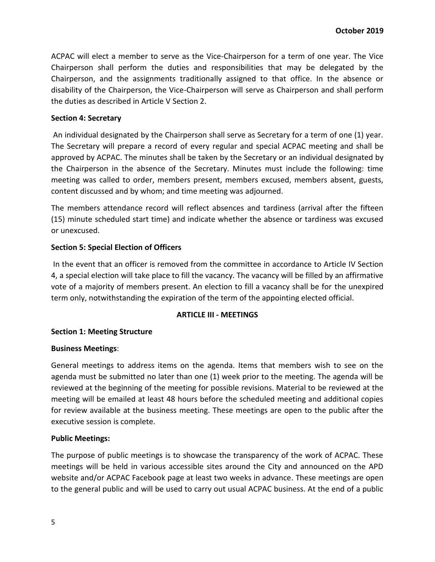ACPAC will elect a member to serve as the Vice-Chairperson for a term of one year. The Vice Chairperson shall perform the duties and responsibilities that may be delegated by the Chairperson, and the assignments traditionally assigned to that office. In the absence or disability of the Chairperson, the Vice-Chairperson will serve as Chairperson and shall perform the duties as described in Article V Section 2.

### **Section 4: Secretary**

An individual designated by the Chairperson shall serve as Secretary for a term of one (1) year. The Secretary will prepare a record of every regular and special ACPAC meeting and shall be approved by ACPAC. The minutes shall be taken by the Secretary or an individual designated by the Chairperson in the absence of the Secretary. Minutes must include the following: time meeting was called to order, members present, members excused, members absent, guests, content discussed and by whom; and time meeting was adjourned.

The members attendance record will reflect absences and tardiness (arrival after the fifteen (15) minute scheduled start time) and indicate whether the absence or tardiness was excused or unexcused.

# **Section 5: Special Election of Officers**

In the event that an officer is removed from the committee in accordance to Article IV Section 4, a special election will take place to fill the vacancy. The vacancy will be filled by an affirmative vote of a majority of members present. An election to fill a vacancy shall be for the unexpired term only, notwithstanding the expiration of the term of the appointing elected official.

#### **ARTICLE III - MEETINGS**

# **Section 1: Meeting Structure**

#### **Business Meetings**:

General meetings to address items on the agenda. Items that members wish to see on the agenda must be submitted no later than one (1) week prior to the meeting. The agenda will be reviewed at the beginning of the meeting for possible revisions. Material to be reviewed at the meeting will be emailed at least 48 hours before the scheduled meeting and additional copies for review available at the business meeting. These meetings are open to the public after the executive session is complete.

#### **Public Meetings:**

The purpose of public meetings is to showcase the transparency of the work of ACPAC. These meetings will be held in various accessible sites around the City and announced on the APD website and/or ACPAC Facebook page at least two weeks in advance. These meetings are open to the general public and will be used to carry out usual ACPAC business. At the end of a public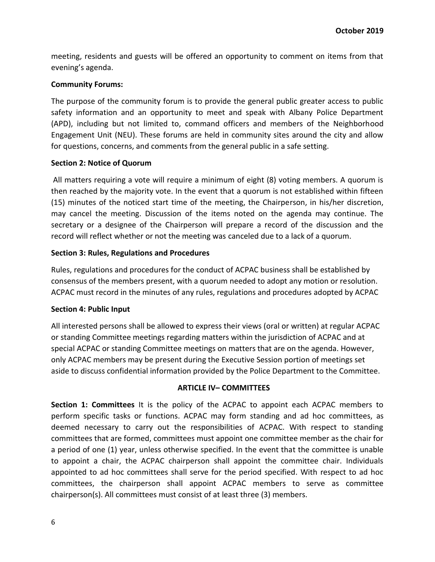meeting, residents and guests will be offered an opportunity to comment on items from that evening's agenda.

# **Community Forums:**

The purpose of the community forum is to provide the general public greater access to public safety information and an opportunity to meet and speak with Albany Police Department (APD), including but not limited to, command officers and members of the Neighborhood Engagement Unit (NEU). These forums are held in community sites around the city and allow for questions, concerns, and comments from the general public in a safe setting.

# **Section 2: Notice of Quorum**

All matters requiring a vote will require a minimum of eight (8) voting members. A quorum is then reached by the majority vote. In the event that a quorum is not established within fifteen (15) minutes of the noticed start time of the meeting, the Chairperson, in his/her discretion, may cancel the meeting. Discussion of the items noted on the agenda may continue. The secretary or a designee of the Chairperson will prepare a record of the discussion and the record will reflect whether or not the meeting was canceled due to a lack of a quorum.

# **Section 3: Rules, Regulations and Procedures**

Rules, regulations and procedures for the conduct of ACPAC business shall be established by consensus of the members present, with a quorum needed to adopt any motion or resolution. ACPAC must record in the minutes of any rules, regulations and procedures adopted by ACPAC

# **Section 4: Public Input**

All interested persons shall be allowed to express their views (oral or written) at regular ACPAC or standing Committee meetings regarding matters within the jurisdiction of ACPAC and at special ACPAC or standing Committee meetings on matters that are on the agenda. However, only ACPAC members may be present during the Executive Session portion of meetings set aside to discuss confidential information provided by the Police Department to the Committee.

# **ARTICLE IV– COMMITTEES**

**Section 1: Committees** It is the policy of the ACPAC to appoint each ACPAC members to perform specific tasks or functions. ACPAC may form standing and ad hoc committees, as deemed necessary to carry out the responsibilities of ACPAC. With respect to standing committees that are formed, committees must appoint one committee member as the chair for a period of one (1) year, unless otherwise specified. In the event that the committee is unable to appoint a chair, the ACPAC chairperson shall appoint the committee chair. Individuals appointed to ad hoc committees shall serve for the period specified. With respect to ad hoc committees, the chairperson shall appoint ACPAC members to serve as committee chairperson(s). All committees must consist of at least three (3) members.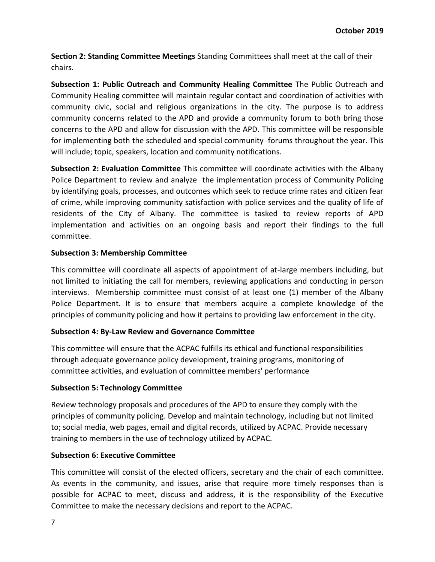**Section 2: Standing Committee Meetings** Standing Committees shall meet at the call of their chairs.

**Subsection 1: Public Outreach and Community Healing Committee** The Public Outreach and Community Healing committee will maintain regular contact and coordination of activities with community civic, social and religious organizations in the city. The purpose is to address community concerns related to the APD and provide a community forum to both bring those concerns to the APD and allow for discussion with the APD. This committee will be responsible for implementing both the scheduled and special community forums throughout the year. This will include; topic, speakers, location and community notifications.

**Subsection 2: Evaluation Committee** This committee will coordinate activities with the Albany Police Department to review and analyze the implementation process of Community Policing by identifying goals, processes, and outcomes which seek to reduce crime rates and citizen fear of crime, while improving community satisfaction with police services and the quality of life of residents of the City of Albany. The committee is tasked to review reports of APD implementation and activities on an ongoing basis and report their findings to the full committee.

# **Subsection 3: Membership Committee**

This committee will coordinate all aspects of appointment of at-large members including, but not limited to initiating the call for members, reviewing applications and conducting in person interviews. Membership committee must consist of at least one (1) member of the Albany Police Department. It is to ensure that members acquire a complete knowledge of the principles of community policing and how it pertains to providing law enforcement in the city.

# **Subsection 4: By-Law Review and Governance Committee**

This committee will ensure that the ACPAC fulfills its ethical and functional responsibilities through adequate governance policy development, training programs, monitoring of committee activities, and evaluation of committee members' performance

# **Subsection 5: Technology Committee**

Review technology proposals and procedures of the APD to ensure they comply with the principles of community policing. Develop and maintain technology, including but not limited to; social media, web pages, email and digital records, utilized by ACPAC. Provide necessary training to members in the use of technology utilized by ACPAC.

# **Subsection 6: Executive Committee**

This committee will consist of the elected officers, secretary and the chair of each committee. As events in the community, and issues, arise that require more timely responses than is possible for ACPAC to meet, discuss and address, it is the responsibility of the Executive Committee to make the necessary decisions and report to the ACPAC.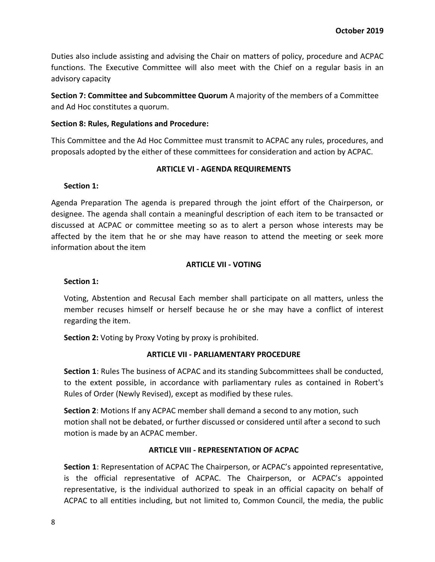Duties also include assisting and advising the Chair on matters of policy, procedure and ACPAC functions. The Executive Committee will also meet with the Chief on a regular basis in an advisory capacity

**Section 7: Committee and Subcommittee Quorum** A majority of the members of a Committee and Ad Hoc constitutes a quorum.

# **Section 8: Rules, Regulations and Procedure:**

This Committee and the Ad Hoc Committee must transmit to ACPAC any rules, procedures, and proposals adopted by the either of these committees for consideration and action by ACPAC.

# **ARTICLE VI - AGENDA REQUIREMENTS**

**Section 1:**

Agenda Preparation The agenda is prepared through the joint effort of the Chairperson, or designee. The agenda shall contain a meaningful description of each item to be transacted or discussed at ACPAC or committee meeting so as to alert a person whose interests may be affected by the item that he or she may have reason to attend the meeting or seek more information about the item

# **ARTICLE VII - VOTING**

# **Section 1:**

Voting, Abstention and Recusal Each member shall participate on all matters, unless the member recuses himself or herself because he or she may have a conflict of interest regarding the item.

**Section 2:** Voting by Proxy Voting by proxy is prohibited.

# **ARTICLE VII - PARLIAMENTARY PROCEDURE**

**Section 1**: Rules The business of ACPAC and its standing Subcommittees shall be conducted, to the extent possible, in accordance with parliamentary rules as contained in Robert's Rules of Order (Newly Revised), except as modified by these rules.

**Section 2**: Motions If any ACPAC member shall demand a second to any motion, such motion shall not be debated, or further discussed or considered until after a second to such motion is made by an ACPAC member.

# **ARTICLE VIII - REPRESENTATION OF ACPAC**

**Section 1**: Representation of ACPAC The Chairperson, or ACPAC's appointed representative, is the official representative of ACPAC. The Chairperson, or ACPAC's appointed representative, is the individual authorized to speak in an official capacity on behalf of ACPAC to all entities including, but not limited to, Common Council, the media, the public